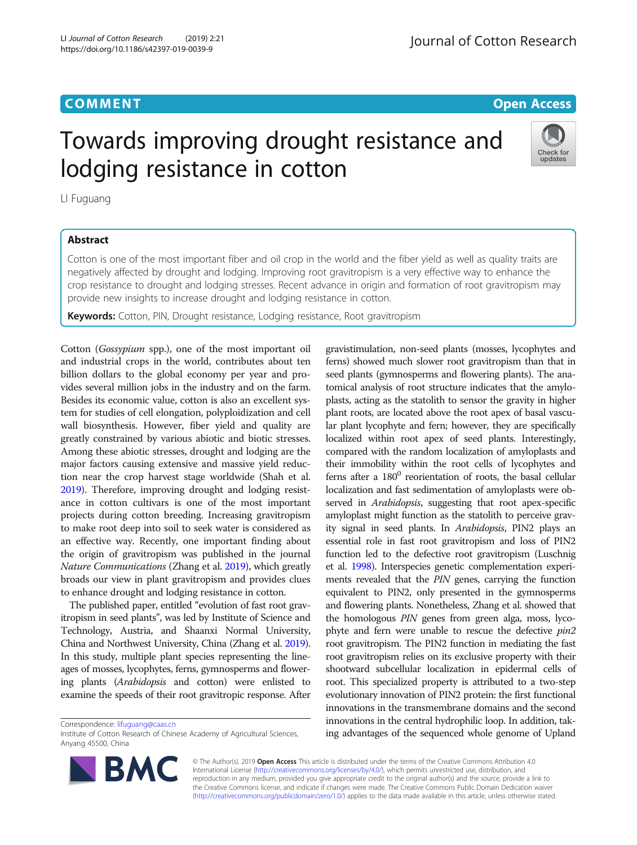**COMMENT COMMENT COMMENT** 

# Towards improving drought resistance and lodging resistance in cotton



LI Fuguang

## Abstract

Cotton is one of the most important fiber and oil crop in the world and the fiber yield as well as quality traits are negatively affected by drought and lodging. Improving root gravitropism is a very effective way to enhance the crop resistance to drought and lodging stresses. Recent advance in origin and formation of root gravitropism may provide new insights to increase drought and lodging resistance in cotton.

Keywords: Cotton, PIN, Drought resistance, Lodging resistance, Root gravitropism

Cotton (Gossypium spp.), one of the most important oil and industrial crops in the world, contributes about ten billion dollars to the global economy per year and provides several million jobs in the industry and on the farm. Besides its economic value, cotton is also an excellent system for studies of cell elongation, polyploidization and cell wall biosynthesis. However, fiber yield and quality are greatly constrained by various abiotic and biotic stresses. Among these abiotic stresses, drought and lodging are the major factors causing extensive and massive yield reduction near the crop harvest stage worldwide (Shah et al. [2019\)](#page-1-0). Therefore, improving drought and lodging resistance in cotton cultivars is one of the most important projects during cotton breeding. Increasing gravitropism to make root deep into soil to seek water is considered as an effective way. Recently, one important finding about the origin of gravitropism was published in the journal Nature Communications (Zhang et al. [2019\)](#page-1-0), which greatly broads our view in plant gravitropism and provides clues to enhance drought and lodging resistance in cotton.

The published paper, entitled "evolution of fast root gravitropism in seed plants", was led by Institute of Science and Technology, Austria, and Shaanxi Normal University, China and Northwest University, China (Zhang et al. [2019](#page-1-0)). In this study, multiple plant species representing the lineages of mosses, lycophytes, ferns, gymnosperms and flowering plants (Arabidopsis and cotton) were enlisted to examine the speeds of their root gravitropic response. After

Correspondence: [lifuguang@caas.cn](mailto:lifuguang@caas.cn)

Institute of Cotton Research of Chinese Academy of Agricultural Sciences, Anyang 45500, China



© The Author(s). 2019 **Open Access** This article is distributed under the terms of the Creative Commons Attribution 4.0 International License [\(http://creativecommons.org/licenses/by/4.0/](http://creativecommons.org/licenses/by/4.0/)), which permits unrestricted use, distribution, and reproduction in any medium, provided you give appropriate credit to the original author(s) and the source, provide a link to the Creative Commons license, and indicate if changes were made. The Creative Commons Public Domain Dedication waiver [\(http://creativecommons.org/publicdomain/zero/1.0/](http://creativecommons.org/publicdomain/zero/1.0/)) applies to the data made available in this article, unless otherwise stated.